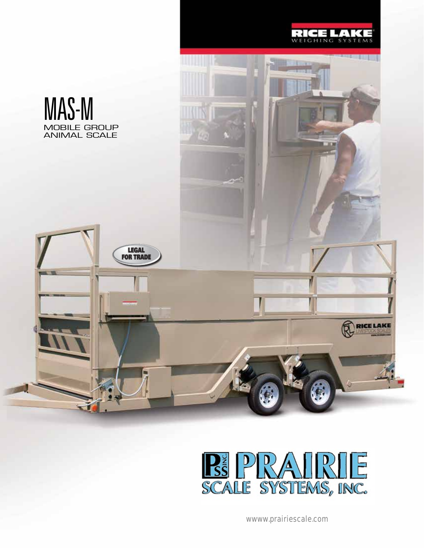



wwww.prairiescale.com